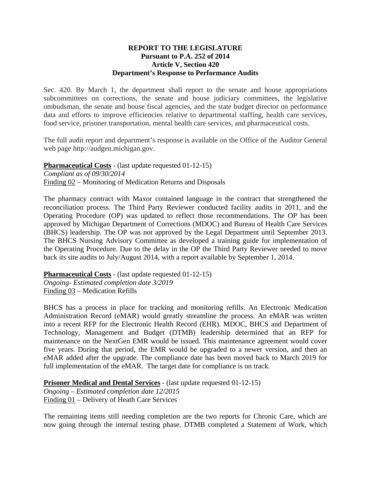## **REPORT TO THE LEGISLATURE Pursuant to P.A. 252 of 2014 Article V, Section 420 Department's Response to Performance Audits**

Sec. 420. By March 1, the department shall report to the senate and house appropriations subcommittees on corrections, the senate and house judiciary committees, the legislative ombudsman, the senate and house fiscal agencies, and the state budget director on performance data and efforts to improve efficiencies relative to departmental staffing, health care services, food service, prisoner transportation, mental health care services, and pharmaceutical costs.

The full audit report and department's response is available on the Office of the Auditor General web page http://audgen.michigan.gov.

**Pharmaceutical Costs** - (last update requested 01-12-15) *Compliant as of 09/30/2014*  Finding 02 – Monitoring of Medication Returns and Disposals

The pharmacy contract with Maxor contained language in the contract that strengthened the reconciliation process. The Third Party Reviewer conducted facility audits in 2011, and the Operating Procedure (OP) was updated to reflect those recommendations. The OP has been approved by Michigan Department of Corrections (MDOC) and Bureau of Health Care Services (BHCS) leadership. The OP was not approved by the Legal Department until September 2013. The BHCS Nursing Advisory Committee as developed a training guide for implementation of the Operating Procedure. Due to the delay in the OP the Third Party Reviewer needed to move back its site audits to July/August 2014, with a report available by September 1, 2014.

**Pharmaceutical Costs** - (last update requested 01-12-15) *Ongoing- Estimated completion date 3/2019*  Finding 03 – Medication Refills

BHCS has a process in place for tracking and monitoring refills. An Electronic Medication Administration Record (eMAR) would greatly streamline the process. An eMAR was written into a recent RFP for the Electronic Health Record (EHR). MDOC, BHCS and Department of Technology, Management and Budget (DTMB) leadership determined that an RFP for maintenance on the NextGen EMR would be issued. This maintenance agreement would cover five years. During that period, the EMR would be upgraded to a newer version, and then an eMAR added after the upgrade. The compliance date has been moved back to March 2019 for full implementation of the eMAR. The target date for compliance is on track.

**Prisoner Medical and Dental Services** - (last update requested 01-12-15)

*Ongoing – Estimated completion date 12/2015*  Finding 01 – Delivery of Heath Care Services

The remaining items still needing completion are the two reports for Chronic Care, which are now going through the internal testing phase. DTMB completed a Statement of Work, which